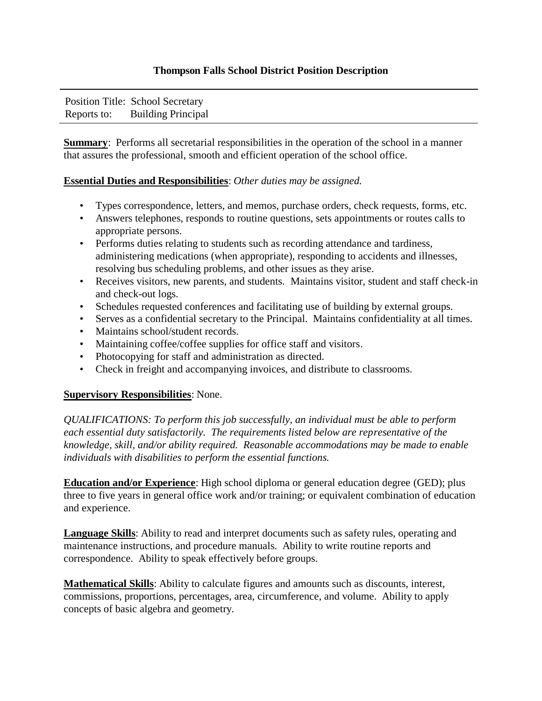## **Thompson Falls School District Position Description**

|             | Position Title: School Secretary |
|-------------|----------------------------------|
| Reports to: | <b>Building Principal</b>        |

**Summary:** Performs all secretarial responsibilities in the operation of the school in a manner that assures the professional, smooth and efficient operation of the school office.

## **Essential Duties and Responsibilities**: *Other duties may be assigned.*

- Types correspondence, letters, and memos, purchase orders, check requests, forms, etc.
- Answers telephones, responds to routine questions, sets appointments or routes calls to appropriate persons.
- Performs duties relating to students such as recording attendance and tardiness, administering medications (when appropriate), responding to accidents and illnesses, resolving bus scheduling problems, and other issues as they arise.
- Receives visitors, new parents, and students. Maintains visitor, student and staff check-in and check-out logs.
- Schedules requested conferences and facilitating use of building by external groups.
- Serves as a confidential secretary to the Principal. Maintains confidentiality at all times.
- Maintains school/student records.
- Maintaining coffee/coffee supplies for office staff and visitors.
- Photocopying for staff and administration as directed.
- Check in freight and accompanying invoices, and distribute to classrooms.

## **Supervisory Responsibilities**: None.

*QUALIFICATIONS: To perform this job successfully, an individual must be able to perform each essential duty satisfactorily. The requirements listed below are representative of the knowledge, skill, and/or ability required. Reasonable accommodations may be made to enable individuals with disabilities to perform the essential functions.* 

**Education and/or Experience**: High school diploma or general education degree (GED); plus three to five years in general office work and/or training; or equivalent combination of education and experience.

**Language Skills**: Ability to read and interpret documents such as safety rules, operating and maintenance instructions, and procedure manuals. Ability to write routine reports and correspondence. Ability to speak effectively before groups.

**Mathematical Skills**: Ability to calculate figures and amounts such as discounts, interest, commissions, proportions, percentages, area, circumference, and volume. Ability to apply concepts of basic algebra and geometry.